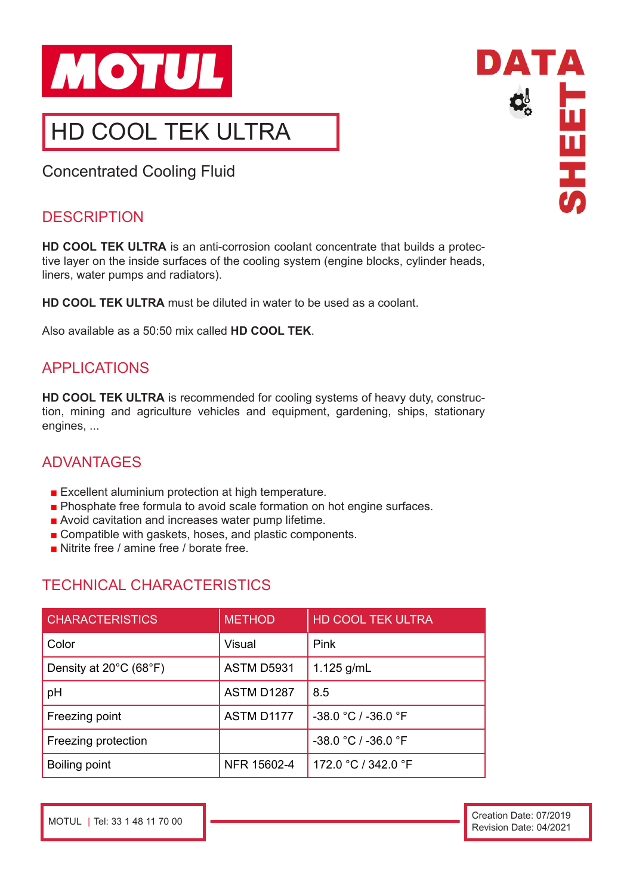

# HD COOL TEK ULTRA

Concentrated Cooling Fluid

#### **DESCRIPTION**

**HD COOL TEK ULTRA** is an anti-corrosion coolant concentrate that builds a protective layer on the inside surfaces of the cooling system (engine blocks, cylinder heads, liners, water pumps and radiators).

**HD COOL TEK ULTRA** must be diluted in water to be used as a coolant.

Also available as a 50:50 mix called **HD COOL TEK**.

### APPLICATIONS

**HD COOL TEK ULTRA** is recommended for cooling systems of heavy duty, construction, mining and agriculture vehicles and equipment, gardening, ships, stationary engines, ...

# ADVANTAGES

- Excellent aluminium protection at high temperature.
- Phosphate free formula to avoid scale formation on hot engine surfaces.
- Avoid cavitation and increases water pump lifetime.
- Compatible with gaskets, hoses, and plastic components.
- Nitrite free / amine free / borate free.

# TECHNICAL CHARACTERISTICS

| <b>CHARACTERISTICS</b>                      | <b>METHOD</b>     | <b>HD COOL TEK ULTRA</b> |
|---------------------------------------------|-------------------|--------------------------|
| Color                                       | Visual            | Pink                     |
| Density at $20^{\circ}$ C (68 $^{\circ}$ F) | <b>ASTM D5931</b> | 1.125 $g/mL$             |
| pH                                          | ASTM D1287        | 8.5                      |
| Freezing point                              | ASTM D1177        | $-38.0 °C / -36.0 °F$    |
| Freezing protection                         |                   | $-38.0 °C / -36.0 °F$    |
| Boiling point                               | NFR 15602-4       | 172.0 °C / 342.0 °F      |

DATA **PEE** 

MOTUL | Tel: 33 1 48 11 70 00 Creation Date: 07/2019 Revision Date: 04/2021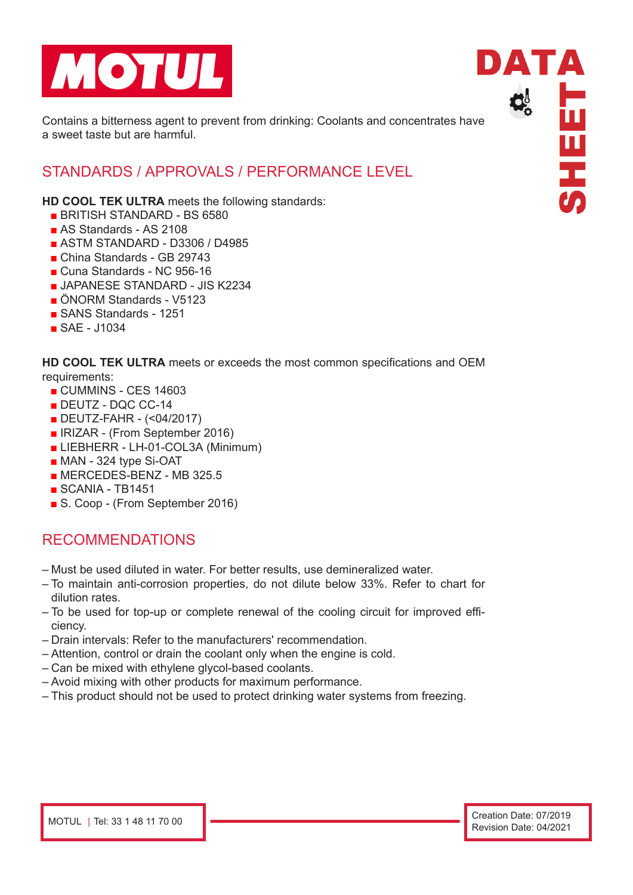

Contains a bitterness agent to prevent from drinking: Coolants and concentrates have a sweet taste but are harmful.

#### STANDARDS / APPROVALS / PERFORMANCE LEVEL

**HD COOL TEK ULTRA** meets the following standards:

- BRITISH STANDARD BS 6580
- AS Standards AS 2108
- ASTM STANDARD D3306 / D4985
- China Standards GB 29743
- Cuna Standards NC 956-16
- JAPANESE STANDARD JIS K2234
- ÖNORM Standards V5123
- SANS Standards 1251
- SAE J1034

**HD COOL TEK ULTRA** meets or exceeds the most common specifications and OEM requirements:

- CUMMINS CES 14603
- DEUTZ DQC CC-14
- DEUTZ-FAHR (<04/2017)
- IRIZAR (From September 2016)
- LIEBHERR LH-01-COL3A (Minimum)
- MAN 324 type Si-OAT
- $\blacksquare$  MERCEDES-BENZ MB 325.5
- $\blacksquare$  SCANIA TB1451
- S. Coop (From September 2016)

#### RECOMMENDATIONS

- Must be used diluted in water. For better results, use demineralized water.
- To maintain anti-corrosion properties, do not dilute below 33%. Refer to chart for dilution rates.
- To be used for top-up or complete renewal of the cooling circuit for improved efficiency.
- Drain intervals: Refer to the manufacturers' recommendation.
- Attention, control or drain the coolant only when the engine is cold.
- Can be mixed with ethylene glycol-based coolants.
- Avoid mixing with other products for maximum performance.
- This product should not be used to protect drinking water systems from freezing.